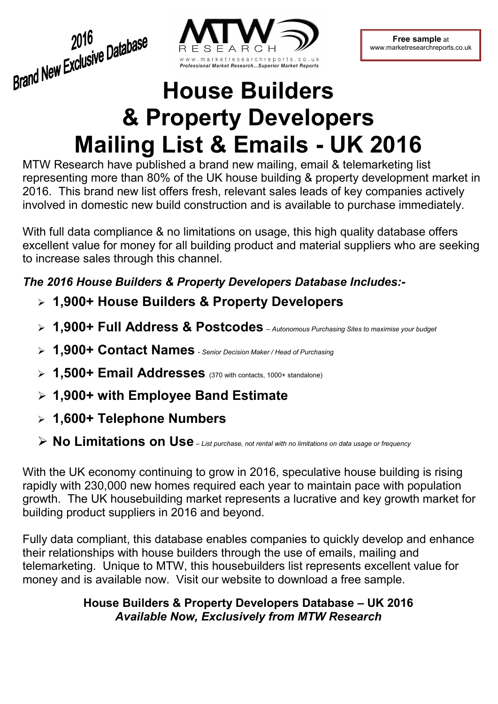2016<br>Brand New Exclusive Database 2016



**Free sample** at www.marketresearchreports.co.uk

# **House Builders & Property Developers Mailing List & Emails - UK 2016**

MTW Research have published a brand new mailing, email & telemarketing list representing more than 80% of the UK house building & property development market in 2016. This brand new list offers fresh, relevant sales leads of key companies actively involved in domestic new build construction and is available to purchase immediately.

With full data compliance & no limitations on usage, this high quality database offers excellent value for money for all building product and material suppliers who are seeking to increase sales through this channel.

## *The 2016 House Builders & Property Developers Database Includes:-*

- **1,900+ House Builders & Property Developers**
- **1,900+ Full Address & Postcodes**  *Autonomous Purchasing Sites to maximise your budget*
- **1,900+ Contact Names**  *Senior Decision Maker / Head of Purchasing*
- **1,500+ Email Addresses** (370 with contacts, 1000+ standalone)
- **1,900+ with Employee Band Estimate**
- **1,600+ Telephone Numbers**
- **No Limitations on Use** *List purchase, not rental with no limitations on data usage or frequency*

With the UK economy continuing to grow in 2016, speculative house building is rising rapidly with 230,000 new homes required each year to maintain pace with population growth. The UK housebuilding market represents a lucrative and key growth market for building product suppliers in 2016 and beyond.

Fully data compliant, this database enables companies to quickly develop and enhance their relationships with house builders through the use of emails, mailing and telemarketing. Unique to MTW, this housebuilders list represents excellent value for money and is available now. Visit our website to download a free sample.

### **House Builders & Property Developers Database – UK 2016**  *Available Now, Exclusively from MTW Research*